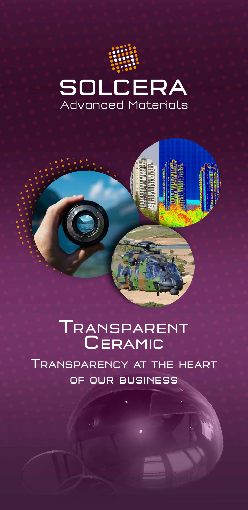





## TRANSPAREN **CERAMI**

Transparency at the heart of our business